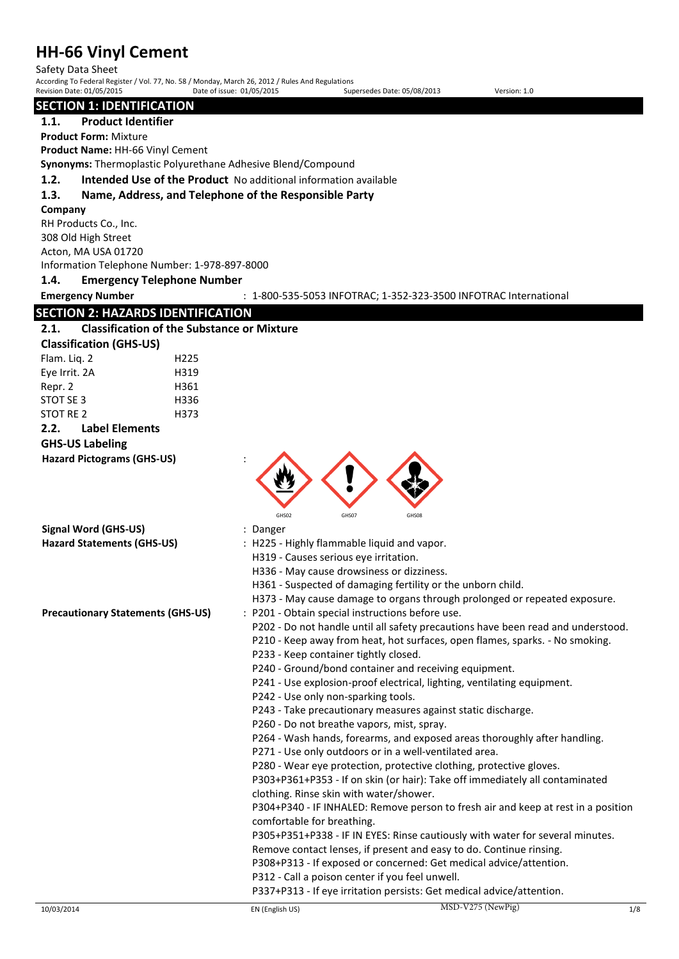Safety Data Sheet

According To Federal Register / Vol. 77, No. 58 / Monday, March 26, 2012 / Rules And Regulations Revision Date: 01/05/2015 Date of issue: 01/05/2015 Supersedes Date: 05/08/2013 Version: 1.0

# **SECTION 1: IDENTIFICATION**

# **1.1. Product Identifier**

**Product Form:** Mixture

**Product Name:** HH-66 Vinyl Cement

**Synonyms:** Thermoplastic Polyurethane Adhesive Blend/Compound

**1.2. Intended Use of the Product** No additional information available

# **1.3. Name, Address, and Telephone of the Responsible Party**

#### **Company**

RH Products Co., Inc. 308 Old High Street Acton, MA USA 01720 Information Telephone Number: 1-978-897-8000

# **1.4. Emergency Telephone Number**

**Emergency Number** : 1-800-535-5053 INFOTRAC; 1-352-323-3500 INFOTRAC International

# **SECTION 2: HAZARDS IDENTIFICATION**

# **2.1. Classification of the Substance or Mixture**

| <b>Classification (GHS-US)</b> |                  |
|--------------------------------|------------------|
| Flam. Lig. 2                   | H <sub>225</sub> |
| Eye Irrit. 2A                  | H319             |
| Repr. 2                        | H361             |
| STOT SE 3                      | H336             |
| STOT RE 2                      | H373             |
| <b>Label Elements</b><br>2.2.  |                  |

# **GHS-US Labeling**

```
Hazard Pictograms (GHS-US) :
```


**Signal Word (GHS-US)** : Danger

- 
- **Hazard Statements (GHS-US)** : H225 Highly flammable liquid and vapor.
	- H319 Causes serious eye irritation.
	- H336 May cause drowsiness or dizziness.
	- H361 Suspected of damaging fertility or the unborn child.
	- H373 May cause damage to organs through prolonged or repeated exposure.
- **Precautionary Statements (GHS-US)** : P201 Obtain special instructions before use.
	- P202 Do not handle until all safety precautions have been read and understood.
	- P210 Keep away from heat, hot surfaces, open flames, sparks. No smoking.
	- P233 Keep container tightly closed.
	- P240 Ground/bond container and receiving equipment.
	- P241 Use explosion-proof electrical, lighting, ventilating equipment.
	- P242 Use only non-sparking tools.
	- P243 Take precautionary measures against static discharge.
	- P260 Do not breathe vapors, mist, spray.
	- P264 Wash hands, forearms, and exposed areas thoroughly after handling.
	- P271 Use only outdoors or in a well-ventilated area.

P280 - Wear eye protection, protective clothing, protective gloves.

P303+P361+P353 - If on skin (or hair): Take off immediately all contaminated clothing. Rinse skin with water/shower.

P304+P340 - IF INHALED: Remove person to fresh air and keep at rest in a position comfortable for breathing.

P305+P351+P338 - IF IN EYES: Rinse cautiously with water for several minutes.

Remove contact lenses, if present and easy to do. Continue rinsing.

P308+P313 - If exposed or concerned: Get medical advice/attention.

P312 - Call a poison center if you feel unwell.

P337+P313 - If eye irritation persists: Get medical advice/attention.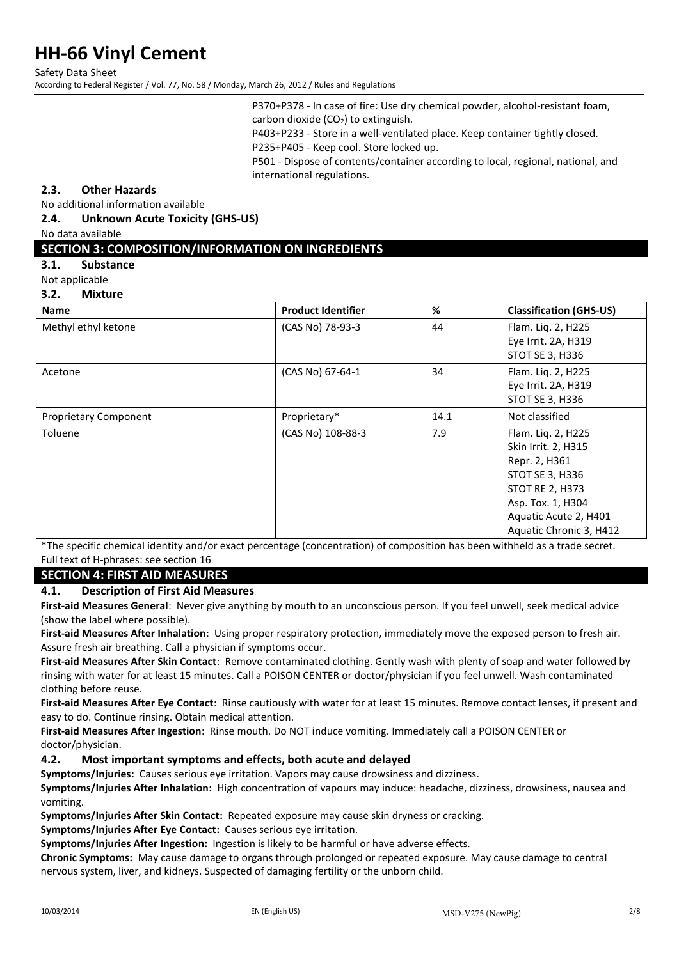Safety Data Sheet

According to Federal Register / Vol. 77, No. 58 / Monday, March 26, 2012 / Rules and Regulations

P370+P378 - In case of fire: Use dry chemical powder, alcohol-resistant foam, carbon dioxide  $(CO<sub>2</sub>)$  to extinguish.

P403+P233 - Store in a well-ventilated place. Keep container tightly closed. P235+P405 - Keep cool. Store locked up.

P501 - Dispose of contents/container according to local, regional, national, and international regulations.

# **2.3. Other Hazards**

No additional information available

**2.4. Unknown Acute Toxicity (GHS-US)** 

No data available

# **SECTION 3: COMPOSITION/INFORMATION ON INGREDIENTS**

- **3.1. Substance**
- Not applicable
- **3.2. Mixture**

| <b>Name</b>                  | <b>Product Identifier</b> | %    | <b>Classification (GHS-US)</b>                                                                                                                                                   |
|------------------------------|---------------------------|------|----------------------------------------------------------------------------------------------------------------------------------------------------------------------------------|
| Methyl ethyl ketone          | (CAS No) 78-93-3<br>44    |      | Flam. Liq. 2, H225<br>Eye Irrit. 2A, H319<br>STOT SE 3, H336                                                                                                                     |
| Acetone                      | (CAS No) 67-64-1          | 34   | Flam. Liq. 2, H225<br>Eye Irrit. 2A, H319<br>STOT SE 3, H336                                                                                                                     |
| <b>Proprietary Component</b> | Proprietary*              | 14.1 | Not classified                                                                                                                                                                   |
| Toluene                      | (CAS No) 108-88-3         | 7.9  | Flam. Liq. 2, H225<br>Skin Irrit. 2, H315<br>Repr. 2, H361<br>STOT SE 3, H336<br><b>STOT RE 2, H373</b><br>Asp. Tox. 1, H304<br>Aquatic Acute 2, H401<br>Aquatic Chronic 3, H412 |

\*The specific chemical identity and/or exact percentage (concentration) of composition has been withheld as a trade secret. Full text of H-phrases: see section 16

# **SECTION 4: FIRST AID MEASURES**

### **4.1. Description of First Aid Measures**

**First-aid Measures General**: Never give anything by mouth to an unconscious person. If you feel unwell, seek medical advice (show the label where possible).

**First-aid Measures After Inhalation**: Using proper respiratory protection, immediately move the exposed person to fresh air. Assure fresh air breathing. Call a physician if symptoms occur.

**First-aid Measures After Skin Contact**: Remove contaminated clothing. Gently wash with plenty of soap and water followed by rinsing with water for at least 15 minutes. Call a POISON CENTER or doctor/physician if you feel unwell. Wash contaminated clothing before reuse.

**First-aid Measures After Eye Contact**: Rinse cautiously with water for at least 15 minutes. Remove contact lenses, if present and easy to do. Continue rinsing. Obtain medical attention.

**First-aid Measures After Ingestion**: Rinse mouth. Do NOT induce vomiting. Immediately call a POISON CENTER or doctor/physician.

# **4.2. Most important symptoms and effects, both acute and delayed**

**Symptoms/Injuries:** Causes serious eye irritation. Vapors may cause drowsiness and dizziness.

**Symptoms/Injuries After Inhalation:** High concentration of vapours may induce: headache, dizziness, drowsiness, nausea and vomiting.

**Symptoms/Injuries After Skin Contact:** Repeated exposure may cause skin dryness or cracking.

**Symptoms/Injuries After Eye Contact:** Causes serious eye irritation.

**Symptoms/Injuries After Ingestion:** Ingestion is likely to be harmful or have adverse effects.

**Chronic Symptoms:** May cause damage to organs through prolonged or repeated exposure. May cause damage to central nervous system, liver, and kidneys. Suspected of damaging fertility or the unborn child.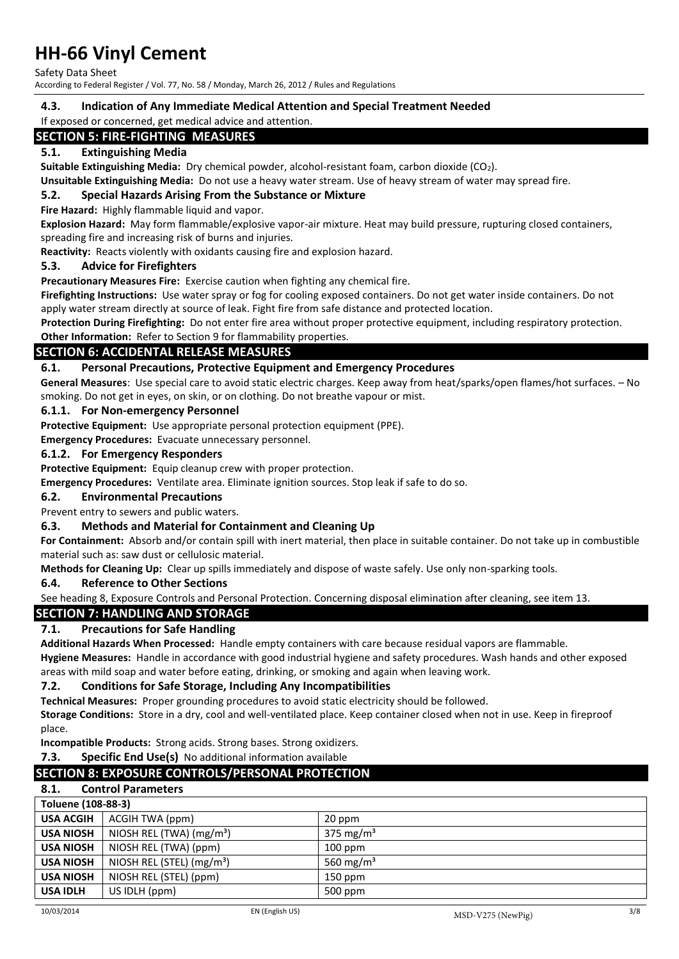Safety Data Sheet

According to Federal Register / Vol. 77, No. 58 / Monday, March 26, 2012 / Rules and Regulations

### **4.3. Indication of Any Immediate Medical Attention and Special Treatment Needed**

#### If exposed or concerned, get medical advice and attention.

# **SECTION 5: FIRE-FIGHTING MEASURES**

# **5.1. Extinguishing Media**

**Suitable Extinguishing Media:** Dry chemical powder, alcohol-resistant foam, carbon dioxide (CO2).

**Unsuitable Extinguishing Media:** Do not use a heavy water stream. Use of heavy stream of water may spread fire.

### **5.2. Special Hazards Arising From the Substance or Mixture**

**Fire Hazard:** Highly flammable liquid and vapor.

**Explosion Hazard:** May form flammable/explosive vapor-air mixture. Heat may build pressure, rupturing closed containers, spreading fire and increasing risk of burns and injuries.

**Reactivity:** Reacts violently with oxidants causing fire and explosion hazard.

### **5.3. Advice for Firefighters**

**Precautionary Measures Fire:** Exercise caution when fighting any chemical fire.

**Firefighting Instructions:** Use water spray or fog for cooling exposed containers. Do not get water inside containers. Do not apply water stream directly at source of leak. Fight fire from safe distance and protected location.

**Protection During Firefighting:** Do not enter fire area without proper protective equipment, including respiratory protection. **Other Information:** Refer to Section 9 for flammability properties.

# **SECTION 6: ACCIDENTAL RELEASE MEASURES**

**6.1. Personal Precautions, Protective Equipment and Emergency Procedures** 

**General Measures**: Use special care to avoid static electric charges. Keep away from heat/sparks/open flames/hot surfaces. – No smoking. Do not get in eyes, on skin, or on clothing. Do not breathe vapour or mist.

### **6.1.1. For Non-emergency Personnel**

**Protective Equipment:** Use appropriate personal protection equipment (PPE).

**Emergency Procedures:** Evacuate unnecessary personnel.

### **6.1.2. For Emergency Responders**

**Protective Equipment:** Equip cleanup crew with proper protection.

**Emergency Procedures:** Ventilate area. Eliminate ignition sources. Stop leak if safe to do so.

### **6.2. Environmental Precautions**

Prevent entry to sewers and public waters.

### **6.3. Methods and Material for Containment and Cleaning Up**

**For Containment:** Absorb and/or contain spill with inert material, then place in suitable container. Do not take up in combustible material such as: saw dust or cellulosic material.

**Methods for Cleaning Up:** Clear up spills immediately and dispose of waste safely. Use only non-sparking tools.

### **6.4. Reference to Other Sections**

See heading 8, Exposure Controls and Personal Protection. Concerning disposal elimination after cleaning, see item 13.

### **SECTION 7: HANDLING AND STORAGE**

### **7.1. Precautions for Safe Handling**

**Additional Hazards When Processed:** Handle empty containers with care because residual vapors are flammable.

**Hygiene Measures:** Handle in accordance with good industrial hygiene and safety procedures. Wash hands and other exposed areas with mild soap and water before eating, drinking, or smoking and again when leaving work.

### **7.2. Conditions for Safe Storage, Including Any Incompatibilities**

**Technical Measures:** Proper grounding procedures to avoid static electricity should be followed.

**Storage Conditions:** Store in a dry, cool and well-ventilated place. Keep container closed when not in use. Keep in fireproof place.

**Incompatible Products:** Strong acids. Strong bases. Strong oxidizers.

**7.3. Specific End Use(s)** No additional information available

# **SECTION 8: EXPOSURE CONTROLS/PERSONAL PROTECTION**

# **8.1. Control Parameters**

| Toluene (108-88-3) |                                       |                       |
|--------------------|---------------------------------------|-----------------------|
| <b>USA ACGIH</b>   | ACGIH TWA (ppm)                       | 20 ppm                |
| <b>USA NIOSH</b>   | NIOSH REL (TWA) $(mg/m3)$             | 375 mg/m <sup>3</sup> |
| <b>USA NIOSH</b>   | NIOSH REL (TWA) (ppm)                 | $100$ ppm             |
| <b>USA NIOSH</b>   | NIOSH REL (STEL) (mg/m <sup>3</sup> ) | 560 mg/m <sup>3</sup> |
| <b>USA NIOSH</b>   | NIOSH REL (STEL) (ppm)                | $150$ ppm             |
| <b>USA IDLH</b>    | US IDLH (ppm)                         | 500 ppm               |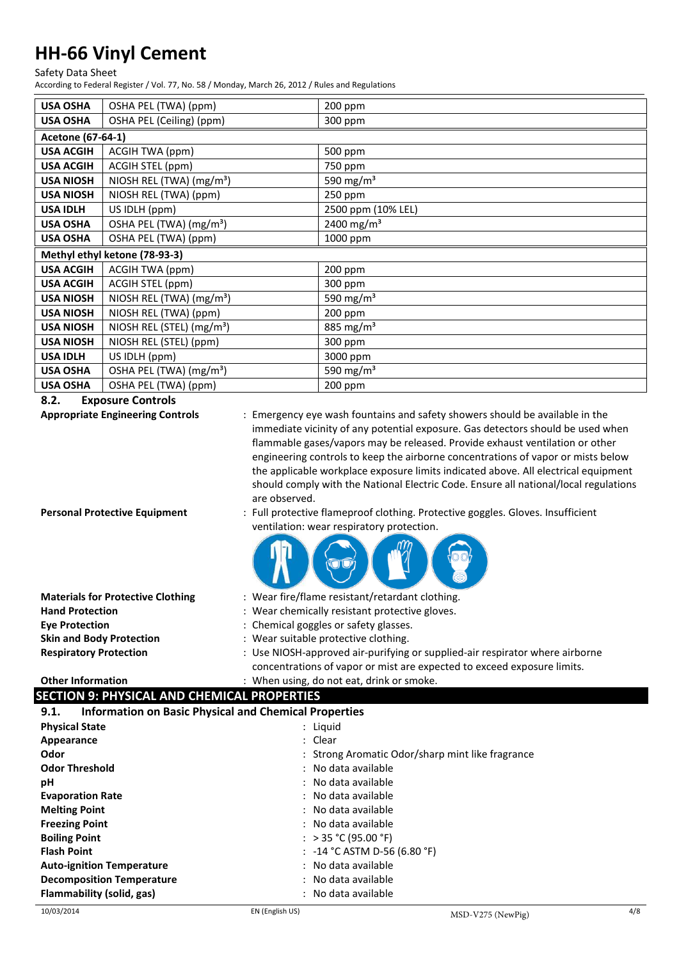Safety Data Sheet

According to Federal Register / Vol. 77, No. 58 / Monday, March 26, 2012 / Rules and Regulations

| <b>USA OSHA</b>               | OSHA PEL (TWA) (ppm)                  | 200 ppm                |
|-------------------------------|---------------------------------------|------------------------|
| <b>USA OSHA</b>               | OSHA PEL (Ceiling) (ppm)              | 300 ppm                |
| Acetone (67-64-1)             |                                       |                        |
| <b>USA ACGIH</b>              | ACGIH TWA (ppm)                       | 500 ppm                |
| <b>USA ACGIH</b>              | ACGIH STEL (ppm)                      | 750 ppm                |
| <b>USA NIOSH</b>              | NIOSH REL (TWA) (mg/m <sup>3</sup> )  | 590 mg/m <sup>3</sup>  |
| <b>USA NIOSH</b>              | NIOSH REL (TWA) (ppm)                 | 250 ppm                |
| <b>USA IDLH</b>               | US IDLH (ppm)                         | 2500 ppm (10% LEL)     |
| <b>USA OSHA</b>               | OSHA PEL (TWA) (mg/m <sup>3</sup> )   | 2400 mg/m <sup>3</sup> |
| <b>USA OSHA</b>               | OSHA PEL (TWA) (ppm)                  | 1000 ppm               |
| Methyl ethyl ketone (78-93-3) |                                       |                        |
| <b>USA ACGIH</b>              | ACGIH TWA (ppm)                       | 200 ppm                |
| <b>USA ACGIH</b>              | ACGIH STEL (ppm)                      | 300 ppm                |
| <b>USA NIOSH</b>              | NIOSH REL (TWA) (mg/m <sup>3</sup> )  | 590 mg/m $3$           |
| <b>USA NIOSH</b>              | NIOSH REL (TWA) (ppm)                 | $200$ ppm              |
| <b>USA NIOSH</b>              | NIOSH REL (STEL) (mg/m <sup>3</sup> ) | 885 mg/m <sup>3</sup>  |
| <b>USA NIOSH</b>              | NIOSH REL (STEL) (ppm)                | 300 ppm                |
| <b>USA IDLH</b>               | US IDLH (ppm)                         | 3000 ppm               |
| <b>USA OSHA</b>               |                                       | 590 mg/m $3$           |
|                               | OSHA PEL (TWA) (mg/m <sup>3</sup> )   |                        |

**8.2. Exposure Controls** 

**Appropriate Engineering Controls** : Emergency eye wash fountains and safety showers should be available in the immediate vicinity of any potential exposure. Gas detectors should be used when flammable gases/vapors may be released. Provide exhaust ventilation or other engineering controls to keep the airborne concentrations of vapor or mists below the applicable workplace exposure limits indicated above. All electrical equipment should comply with the National Electric Code. Ensure all national/local regulations are observed.

- 
- **Personal Protective Equipment** : Full protective flameproof clothing. Protective goggles. Gloves. Insufficient ventilation: wear respiratory protection.



| <b>Materials for Protective Clothing</b> | : Wear fire/flame resistant/retardant clothing.                                                                                                         |  |
|------------------------------------------|---------------------------------------------------------------------------------------------------------------------------------------------------------|--|
| <b>Hand Protection</b>                   | : Wear chemically resistant protective gloves.                                                                                                          |  |
| <b>Eve Protection</b>                    | : Chemical goggles or safety glasses.                                                                                                                   |  |
| <b>Skin and Body Protection</b>          | : Wear suitable protective clothing.                                                                                                                    |  |
| <b>Respiratory Protection</b>            | : Use NIOSH-approved air-purifying or supplied-air respirator where airborne<br>concentrations of vapor or mist are expected to exceed exposure limits. |  |

# **Other Information** : When using, do not eat, drink or smoke.

# **SECTION 9: PHYSICAL AND CHEMICAL PROPERTIES**

| <b>Information on Basic Physical and Chemical Properties</b><br>9.1. |                                                  |  |
|----------------------------------------------------------------------|--------------------------------------------------|--|
| <b>Physical State</b>                                                | : Liquid                                         |  |
| Appearance                                                           | : Clear                                          |  |
| Odor                                                                 | : Strong Aromatic Odor/sharp mint like fragrance |  |
| <b>Odor Threshold</b>                                                | : No data available                              |  |
| рH                                                                   | : No data available                              |  |
| <b>Evaporation Rate</b>                                              | : No data available                              |  |
| <b>Melting Point</b>                                                 | : No data available                              |  |
| <b>Freezing Point</b>                                                | : No data available                              |  |
| <b>Boiling Point</b>                                                 | : > 35 °C (95.00 °F)                             |  |
| <b>Flash Point</b>                                                   | : $-14$ °C ASTM D-56 (6.80 °F)                   |  |
| <b>Auto-ignition Temperature</b>                                     | : No data available                              |  |
| <b>Decomposition Temperature</b>                                     | : No data available                              |  |
| Flammability (solid, gas)                                            | : No data available                              |  |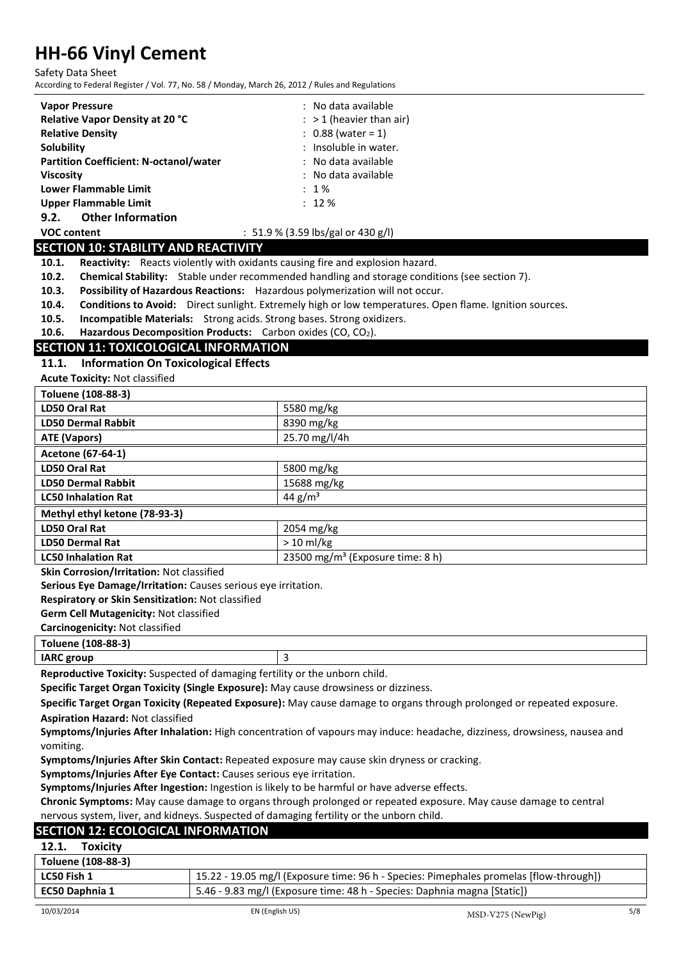Safety Data Sheet

According to Federal Register / Vol. 77, No. 58 / Monday, March 26, 2012 / Rules and Regulations

| According to Federal Register / Vol. 77, No. 58 / Monday, March 26, 2012 / Rules and Regulations                 |                                                                                                                           |  |
|------------------------------------------------------------------------------------------------------------------|---------------------------------------------------------------------------------------------------------------------------|--|
| <b>Vapor Pressure</b>                                                                                            | : No data available                                                                                                       |  |
| Relative Vapor Density at 20 °C                                                                                  | $:$ > 1 (heavier than air)                                                                                                |  |
| <b>Relative Density</b>                                                                                          | $: 0.88$ (water = 1)                                                                                                      |  |
| Solubility                                                                                                       | : Insoluble in water.                                                                                                     |  |
| <b>Partition Coefficient: N-octanol/water</b><br>: No data available                                             |                                                                                                                           |  |
| : No data available<br><b>Viscosity</b>                                                                          |                                                                                                                           |  |
| <b>Lower Flammable Limit</b>                                                                                     | : 1%                                                                                                                      |  |
| <b>Upper Flammable Limit</b>                                                                                     | : 12%                                                                                                                     |  |
| 9.2.<br><b>Other Information</b>                                                                                 |                                                                                                                           |  |
| <b>VOC content</b>                                                                                               | : 51.9 % (3.59 lbs/gal or 430 g/l)                                                                                        |  |
| <b>SECTION 10: STABILITY AND REACTIVITY</b>                                                                      |                                                                                                                           |  |
| Reactivity: Reacts violently with oxidants causing fire and explosion hazard.<br>10.1.                           |                                                                                                                           |  |
| 10.2.                                                                                                            | Chemical Stability: Stable under recommended handling and storage conditions (see section 7).                             |  |
| Possibility of Hazardous Reactions: Hazardous polymerization will not occur.<br>10.3.                            |                                                                                                                           |  |
| 10.4.                                                                                                            | Conditions to Avoid: Direct sunlight. Extremely high or low temperatures. Open flame. Ignition sources.                   |  |
| 10.5.<br>Incompatible Materials: Strong acids. Strong bases. Strong oxidizers.                                   |                                                                                                                           |  |
| 10.6.<br>Hazardous Decomposition Products: Carbon oxides (CO, CO2).                                              |                                                                                                                           |  |
| <b>SECTION 11: TOXICOLOGICAL INFORMATION</b>                                                                     |                                                                                                                           |  |
| <b>Information On Toxicological Effects</b><br>11.1.                                                             |                                                                                                                           |  |
| <b>Acute Toxicity: Not classified</b>                                                                            |                                                                                                                           |  |
| Toluene (108-88-3)                                                                                               |                                                                                                                           |  |
| <b>LD50 Oral Rat</b>                                                                                             | 5580 mg/kg                                                                                                                |  |
| <b>LD50 Dermal Rabbit</b>                                                                                        | 8390 mg/kg                                                                                                                |  |
| <b>ATE (Vapors)</b>                                                                                              | 25.70 mg/l/4h                                                                                                             |  |
| Acetone (67-64-1)                                                                                                |                                                                                                                           |  |
| <b>LD50 Oral Rat</b>                                                                                             | 5800 mg/kg                                                                                                                |  |
| <b>LD50 Dermal Rabbit</b>                                                                                        | 15688 mg/kg                                                                                                               |  |
| <b>LC50 Inhalation Rat</b>                                                                                       | 44 $g/m^3$                                                                                                                |  |
| Methyl ethyl ketone (78-93-3)                                                                                    |                                                                                                                           |  |
| <b>LD50 Oral Rat</b>                                                                                             | 2054 mg/kg                                                                                                                |  |
| <b>LD50 Dermal Rat</b>                                                                                           | $> 10$ ml/kg                                                                                                              |  |
| 23500 mg/m <sup>3</sup> (Exposure time: 8 h)<br><b>LC50 Inhalation Rat</b>                                       |                                                                                                                           |  |
| Skin Corrosion/Irritation: Not classified                                                                        |                                                                                                                           |  |
| Serious Eye Damage/Irritation: Causes serious eye irritation.                                                    |                                                                                                                           |  |
| Respiratory or Skin Sensitization: Not classified                                                                |                                                                                                                           |  |
| Germ Cell Mutagenicity: Not classified                                                                           |                                                                                                                           |  |
| Carcinogenicity: Not classified                                                                                  |                                                                                                                           |  |
| Toluene (108-88-3)                                                                                               |                                                                                                                           |  |
| <b>IARC</b> group                                                                                                | 3                                                                                                                         |  |
| Reproductive Toxicity: Suspected of damaging fertility or the unborn child.                                      |                                                                                                                           |  |
| Specific Target Organ Toxicity (Single Exposure): May cause drowsiness or dizziness.                             |                                                                                                                           |  |
|                                                                                                                  | Specific Target Organ Toxicity (Repeated Exposure): May cause damage to organs through prolonged or repeated exposure.    |  |
| <b>Aspiration Hazard: Not classified</b>                                                                         |                                                                                                                           |  |
|                                                                                                                  | Symptoms/Injuries After Inhalation: High concentration of vapours may induce: headache, dizziness, drowsiness, nausea and |  |
| vomiting.                                                                                                        |                                                                                                                           |  |
| Symptoms/Injuries After Skin Contact: Repeated exposure may cause skin dryness or cracking.                      |                                                                                                                           |  |
| Symptoms/Injuries After Eye Contact: Causes serious eye irritation.                                              |                                                                                                                           |  |
| Symptoms/Injuries After Ingestion: Ingestion is likely to be harmful or have adverse effects.                    |                                                                                                                           |  |
| Chronic Symptoms: May cause damage to organs through prolonged or repeated exposure. May cause damage to central |                                                                                                                           |  |
| nervous system, liver, and kidneys. Suspected of damaging fertility or the unborn child.                         |                                                                                                                           |  |
| <b>SECTION 12: ECOLOGICAL INFORMATION</b>                                                                        |                                                                                                                           |  |

# **SECTION 12: ECOLOGICAL INFORMATION**

| <b>Toxicity</b><br>12.1. |                                                                                        |
|--------------------------|----------------------------------------------------------------------------------------|
| Toluene (108-88-3)       |                                                                                        |
| LC50 Fish 1              | 15.22 - 19.05 mg/l (Exposure time: 96 h - Species: Pimephales promelas [flow-through]) |
| EC50 Daphnia 1           | 5.46 - 9.83 mg/l (Exposure time: 48 h - Species: Daphnia magna [Static])               |
|                          |                                                                                        |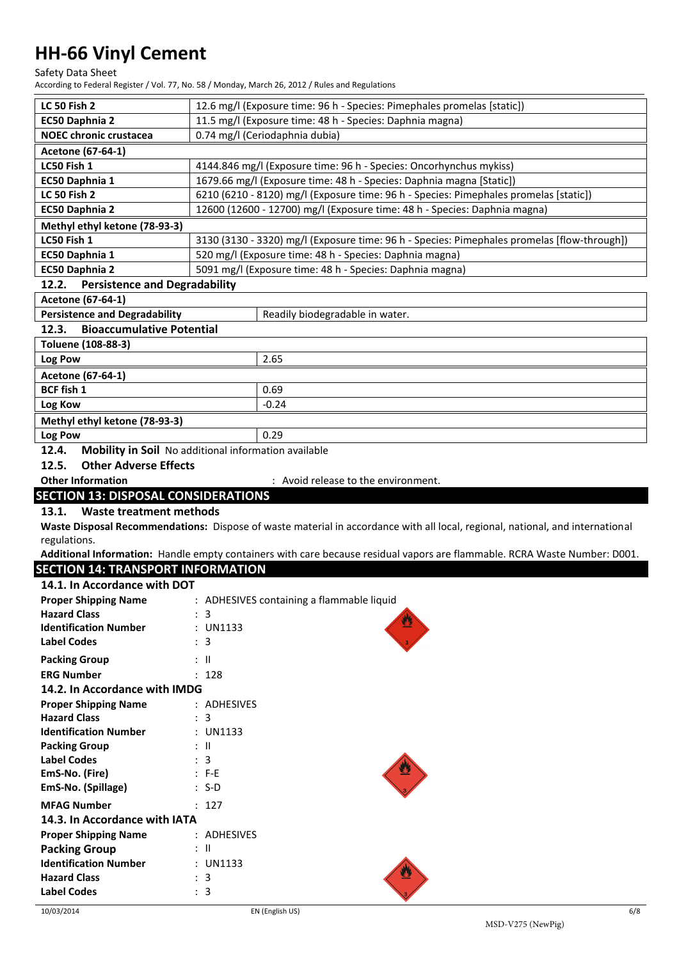Safety Data Sheet

According to Federal Register / Vol. 77, No. 58 / Monday, March 26, 2012 / Rules and Regulations

| LC 50 Fish 2                                                  |                                                                      | 12.6 mg/l (Exposure time: 96 h - Species: Pimephales promelas [static])                                                       |  |
|---------------------------------------------------------------|----------------------------------------------------------------------|-------------------------------------------------------------------------------------------------------------------------------|--|
| EC50 Daphnia 2                                                |                                                                      |                                                                                                                               |  |
|                                                               | 11.5 mg/l (Exposure time: 48 h - Species: Daphnia magna)             |                                                                                                                               |  |
| <b>NOEC chronic crustacea</b>                                 | 0.74 mg/l (Ceriodaphnia dubia)                                       |                                                                                                                               |  |
| Acetone (67-64-1)                                             |                                                                      |                                                                                                                               |  |
| LC50 Fish 1                                                   | 4144.846 mg/l (Exposure time: 96 h - Species: Oncorhynchus mykiss)   |                                                                                                                               |  |
| EC50 Daphnia 1                                                | 1679.66 mg/l (Exposure time: 48 h - Species: Daphnia magna [Static]) |                                                                                                                               |  |
| <b>LC 50 Fish 2</b>                                           |                                                                      | 6210 (6210 - 8120) mg/l (Exposure time: 96 h - Species: Pimephales promelas [static])                                         |  |
| <b>EC50 Daphnia 2</b>                                         |                                                                      | 12600 (12600 - 12700) mg/l (Exposure time: 48 h - Species: Daphnia magna)                                                     |  |
| Methyl ethyl ketone (78-93-3)                                 |                                                                      |                                                                                                                               |  |
| LC50 Fish 1                                                   |                                                                      | 3130 (3130 - 3320) mg/l (Exposure time: 96 h - Species: Pimephales promelas [flow-through])                                   |  |
| EC50 Daphnia 1                                                |                                                                      | 520 mg/l (Exposure time: 48 h - Species: Daphnia magna)                                                                       |  |
| EC50 Daphnia 2                                                |                                                                      | 5091 mg/l (Exposure time: 48 h - Species: Daphnia magna)                                                                      |  |
| 12.2.<br><b>Persistence and Degradability</b>                 |                                                                      |                                                                                                                               |  |
| Acetone (67-64-1)                                             |                                                                      |                                                                                                                               |  |
| <b>Persistence and Degradability</b>                          |                                                                      |                                                                                                                               |  |
| <b>Bioaccumulative Potential</b>                              |                                                                      | Readily biodegradable in water.                                                                                               |  |
| 12.3.                                                         |                                                                      |                                                                                                                               |  |
| Toluene (108-88-3)                                            |                                                                      |                                                                                                                               |  |
| Log Pow                                                       |                                                                      | 2.65                                                                                                                          |  |
| Acetone (67-64-1)                                             |                                                                      |                                                                                                                               |  |
| <b>BCF fish 1</b>                                             |                                                                      | 0.69                                                                                                                          |  |
| Log Kow                                                       |                                                                      | $-0.24$                                                                                                                       |  |
| Methyl ethyl ketone (78-93-3)                                 |                                                                      |                                                                                                                               |  |
| Log Pow                                                       |                                                                      | 0.29                                                                                                                          |  |
| 12.4.<br>Mobility in Soil No additional information available |                                                                      |                                                                                                                               |  |
| <b>Other Adverse Effects</b><br>12.5.                         |                                                                      |                                                                                                                               |  |
| <b>Other Information</b>                                      |                                                                      | : Avoid release to the environment.                                                                                           |  |
|                                                               |                                                                      |                                                                                                                               |  |
|                                                               |                                                                      |                                                                                                                               |  |
| <b>SECTION 13: DISPOSAL CONSIDERATIONS</b>                    |                                                                      |                                                                                                                               |  |
| <b>Waste treatment methods</b><br>13.1.                       |                                                                      |                                                                                                                               |  |
|                                                               |                                                                      | Waste Disposal Recommendations: Dispose of waste material in accordance with all local, regional, national, and international |  |
| regulations.                                                  |                                                                      |                                                                                                                               |  |
|                                                               |                                                                      | Additional Information: Handle empty containers with care because residual vapors are flammable. RCRA Waste Number: D001.     |  |
| <b>SECTION 14: TRANSPORT INFORMATION</b>                      |                                                                      |                                                                                                                               |  |
| 14.1. In Accordance with DOT                                  |                                                                      |                                                                                                                               |  |
| <b>Proper Shipping Name</b>                                   |                                                                      | : ADHESIVES containing a flammable liquid                                                                                     |  |
| <b>Hazard Class</b>                                           | : 3                                                                  |                                                                                                                               |  |
| <b>Identification Number</b>                                  | : UN1133                                                             |                                                                                                                               |  |
| <b>Label Codes</b>                                            | : 3                                                                  |                                                                                                                               |  |
|                                                               | : II                                                                 |                                                                                                                               |  |
| <b>Packing Group</b>                                          |                                                                      |                                                                                                                               |  |
| <b>ERG Number</b>                                             | : 128                                                                |                                                                                                                               |  |
| 14.2. In Accordance with IMDG                                 |                                                                      |                                                                                                                               |  |
| <b>Proper Shipping Name</b>                                   | : ADHESIVES                                                          |                                                                                                                               |  |
| <b>Hazard Class</b>                                           | 3                                                                    |                                                                                                                               |  |
| <b>Identification Number</b>                                  | : UN1133                                                             |                                                                                                                               |  |
| <b>Packing Group</b>                                          | : II                                                                 |                                                                                                                               |  |
| <b>Label Codes</b>                                            | : 3                                                                  |                                                                                                                               |  |
| EmS-No. (Fire)                                                | $: F-E$                                                              |                                                                                                                               |  |
| EmS-No. (Spillage)                                            | $: S-D$                                                              |                                                                                                                               |  |
| <b>MFAG Number</b>                                            | : 127                                                                |                                                                                                                               |  |
| 14.3. In Accordance with IATA                                 |                                                                      |                                                                                                                               |  |
| <b>Proper Shipping Name</b>                                   | : ADHESIVES                                                          |                                                                                                                               |  |
| <b>Packing Group</b>                                          | : II                                                                 |                                                                                                                               |  |
| <b>Identification Number</b>                                  | : UN1133                                                             |                                                                                                                               |  |
| <b>Hazard Class</b>                                           | : 3                                                                  |                                                                                                                               |  |
| <b>Label Codes</b>                                            | : 3                                                                  |                                                                                                                               |  |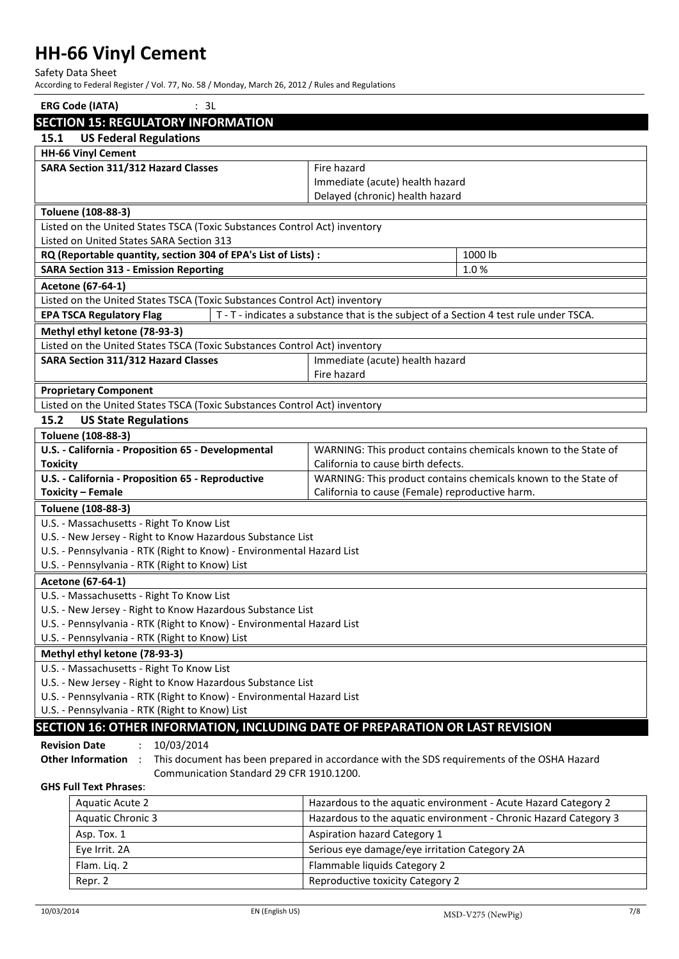Safety Data Sheet

According to Federal Register / Vol. 77, No. 58 / Monday, March 26, 2012 / Rules and Regulations

|                                                                               | <b>ERG Code (IATA)</b>                                                                                  | : 3L |                                                                                            |                                                                  |  |
|-------------------------------------------------------------------------------|---------------------------------------------------------------------------------------------------------|------|--------------------------------------------------------------------------------------------|------------------------------------------------------------------|--|
|                                                                               | <b>SECTION 15: REGULATORY INFORMATION</b>                                                               |      |                                                                                            |                                                                  |  |
| 15.1                                                                          | <b>US Federal Regulations</b>                                                                           |      |                                                                                            |                                                                  |  |
|                                                                               | <b>HH-66 Vinyl Cement</b>                                                                               |      |                                                                                            |                                                                  |  |
|                                                                               | SARA Section 311/312 Hazard Classes                                                                     |      | Fire hazard                                                                                |                                                                  |  |
|                                                                               |                                                                                                         |      | Immediate (acute) health hazard                                                            |                                                                  |  |
|                                                                               |                                                                                                         |      | Delayed (chronic) health hazard                                                            |                                                                  |  |
|                                                                               | Toluene (108-88-3)                                                                                      |      |                                                                                            |                                                                  |  |
|                                                                               | Listed on the United States TSCA (Toxic Substances Control Act) inventory                               |      |                                                                                            |                                                                  |  |
|                                                                               | Listed on United States SARA Section 313                                                                |      |                                                                                            |                                                                  |  |
|                                                                               | RQ (Reportable quantity, section 304 of EPA's List of Lists) :                                          |      |                                                                                            | 1000 lb                                                          |  |
|                                                                               | <b>SARA Section 313 - Emission Reporting</b>                                                            |      |                                                                                            | 1.0%                                                             |  |
|                                                                               | Acetone (67-64-1)                                                                                       |      |                                                                                            |                                                                  |  |
|                                                                               | Listed on the United States TSCA (Toxic Substances Control Act) inventory                               |      |                                                                                            |                                                                  |  |
|                                                                               | <b>EPA TSCA Regulatory Flag</b>                                                                         |      | T - T - indicates a substance that is the subject of a Section 4 test rule under TSCA.     |                                                                  |  |
|                                                                               | Methyl ethyl ketone (78-93-3)                                                                           |      |                                                                                            |                                                                  |  |
|                                                                               | Listed on the United States TSCA (Toxic Substances Control Act) inventory                               |      |                                                                                            |                                                                  |  |
|                                                                               | <b>SARA Section 311/312 Hazard Classes</b>                                                              |      | Immediate (acute) health hazard                                                            |                                                                  |  |
|                                                                               |                                                                                                         |      | Fire hazard                                                                                |                                                                  |  |
|                                                                               | <b>Proprietary Component</b>                                                                            |      |                                                                                            |                                                                  |  |
|                                                                               | Listed on the United States TSCA (Toxic Substances Control Act) inventory                               |      |                                                                                            |                                                                  |  |
| 15.2                                                                          | <b>US State Regulations</b>                                                                             |      |                                                                                            |                                                                  |  |
|                                                                               | Toluene (108-88-3)                                                                                      |      |                                                                                            |                                                                  |  |
|                                                                               | U.S. - California - Proposition 65 - Developmental                                                      |      |                                                                                            | WARNING: This product contains chemicals known to the State of   |  |
| <b>Toxicity</b>                                                               |                                                                                                         |      | California to cause birth defects.                                                         |                                                                  |  |
|                                                                               | U.S. - California - Proposition 65 - Reproductive                                                       |      | WARNING: This product contains chemicals known to the State of                             |                                                                  |  |
| <b>Toxicity - Female</b><br>California to cause (Female) reproductive harm.   |                                                                                                         |      |                                                                                            |                                                                  |  |
| Toluene (108-88-3)                                                            |                                                                                                         |      |                                                                                            |                                                                  |  |
|                                                                               | U.S. - Massachusetts - Right To Know List<br>U.S. - New Jersey - Right to Know Hazardous Substance List |      |                                                                                            |                                                                  |  |
|                                                                               | U.S. - Pennsylvania - RTK (Right to Know) - Environmental Hazard List                                   |      |                                                                                            |                                                                  |  |
|                                                                               | U.S. - Pennsylvania - RTK (Right to Know) List                                                          |      |                                                                                            |                                                                  |  |
|                                                                               | Acetone (67-64-1)                                                                                       |      |                                                                                            |                                                                  |  |
|                                                                               | U.S. - Massachusetts - Right To Know List                                                               |      |                                                                                            |                                                                  |  |
| U.S. - New Jersey - Right to Know Hazardous Substance List                    |                                                                                                         |      |                                                                                            |                                                                  |  |
|                                                                               | U.S. - Pennsylvania - RTK (Right to Know) - Environmental Hazard List                                   |      |                                                                                            |                                                                  |  |
| U.S. - Pennsylvania - RTK (Right to Know) List                                |                                                                                                         |      |                                                                                            |                                                                  |  |
| Methyl ethyl ketone (78-93-3)                                                 |                                                                                                         |      |                                                                                            |                                                                  |  |
| U.S. - Massachusetts - Right To Know List                                     |                                                                                                         |      |                                                                                            |                                                                  |  |
|                                                                               | U.S. - New Jersey - Right to Know Hazardous Substance List                                              |      |                                                                                            |                                                                  |  |
|                                                                               | U.S. - Pennsylvania - RTK (Right to Know) - Environmental Hazard List                                   |      |                                                                                            |                                                                  |  |
| U.S. - Pennsylvania - RTK (Right to Know) List                                |                                                                                                         |      |                                                                                            |                                                                  |  |
| SECTION 16: OTHER INFORMATION, INCLUDING DATE OF PREPARATION OR LAST REVISION |                                                                                                         |      |                                                                                            |                                                                  |  |
|                                                                               | <b>Revision Date</b><br>10/03/2014                                                                      |      |                                                                                            |                                                                  |  |
|                                                                               | Other Information :                                                                                     |      | This document has been prepared in accordance with the SDS requirements of the OSHA Hazard |                                                                  |  |
| Communication Standard 29 CFR 1910.1200.                                      |                                                                                                         |      |                                                                                            |                                                                  |  |
|                                                                               | <b>GHS Full Text Phrases:</b>                                                                           |      |                                                                                            |                                                                  |  |
|                                                                               | <b>Aquatic Acute 2</b>                                                                                  |      |                                                                                            | Hazardous to the aquatic environment - Acute Hazard Category 2   |  |
|                                                                               | <b>Aquatic Chronic 3</b>                                                                                |      |                                                                                            | Hazardous to the aquatic environment - Chronic Hazard Category 3 |  |
|                                                                               | Asp. Tox. 1                                                                                             |      | Aspiration hazard Category 1                                                               |                                                                  |  |
|                                                                               | Serious eye damage/eye irritation Category 2A<br>Eye Irrit. 2A                                          |      |                                                                                            |                                                                  |  |
|                                                                               | Flam. Liq. 2<br>Flammable liquids Category 2                                                            |      |                                                                                            |                                                                  |  |

Repr. 2 Reproductive toxicity Category 2